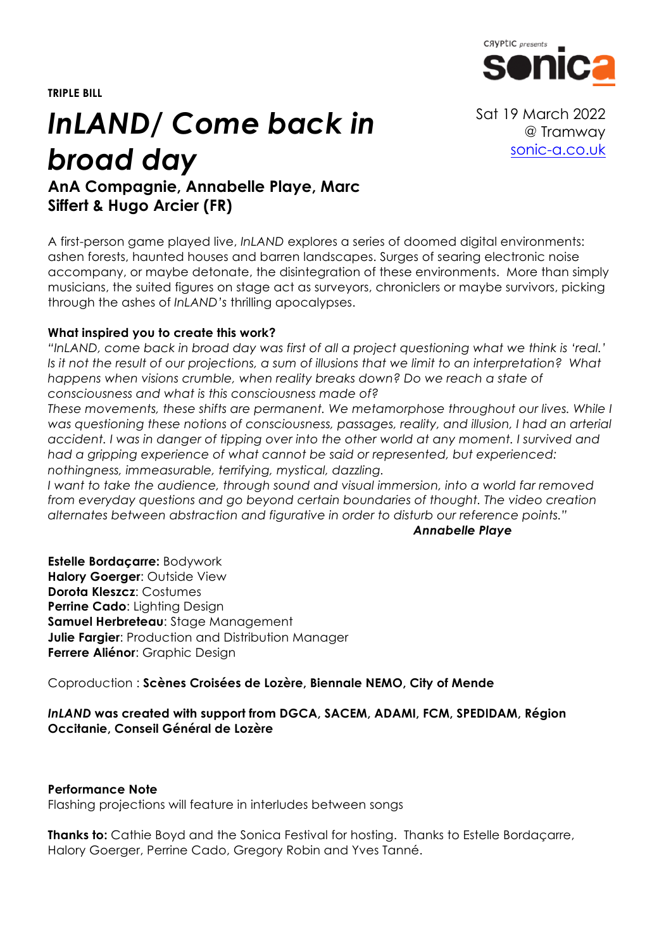**TRIPLE BILL**



# *InLAND/ Come back in broad day*

**AnA Compagnie, Annabelle Playe, Marc Siffert & Hugo Arcier (FR)**

A first-person game played live, *InLAND* explores a series of doomed digital environments: ashen forests, haunted houses and barren landscapes. Surges of searing electronic noise accompany, or maybe detonate, the disintegration of these environments. More than simply musicians, the suited figures on stage act as surveyors, chroniclers or maybe survivors, picking through the ashes of *InLAND's* thrilling apocalypses.

#### **What inspired you to create this work?**

*"InLAND, come back in broad day was first of all a project questioning what we think is 'real.' Is it not the result of our projections, a sum of illusions that we limit to an interpretation? What happens when visions crumble, when reality breaks down? Do we reach a state of consciousness and what is this consciousness made of?*

*These movements, these shifts are permanent. We metamorphose throughout our lives. While I was questioning these notions of consciousness, passages, reality, and illusion, I had an arterial accident. I was in danger of tipping over into the other world at any moment. I survived and had a gripping experience of what cannot be said or represented, but experienced: nothingness, immeasurable, terrifying, mystical, dazzling.*

*I want to take the audience, through sound and visual immersion, into a world far removed from everyday questions and go beyond certain boundaries of thought. The video creation alternates between abstraction and figurative in order to disturb our reference points."* 

*Annabelle Playe*

**Estelle Bordaçarre:** Bodywork **Halory Goerger**: Outside View **Dorota Kleszcz**: Costumes **Perrine Cado**: Lighting Design **Samuel Herbreteau**: Stage Management **Julie Fargier:** Production and Distribution Manager **Ferrere Aliénor**: Graphic Design

Coproduction : **Scènes Croisées de Lozère, Biennale NEMO, City of Mende**

#### *InLAND* **was created with support from DGCA, SACEM, ADAMI, FCM, SPEDIDAM, Région Occitanie, Conseil Général de Lozère**

#### **Performance Note**

Flashing projections will feature in interludes between songs

**Thanks to:** Cathie Boyd and the Sonica Festival for hosting. Thanks to Estelle Bordaçarre, Halory Goerger, Perrine Cado, Gregory Robin and Yves Tanné.

Sat 19 March 2022 @ Tramway sonic-a.co.uk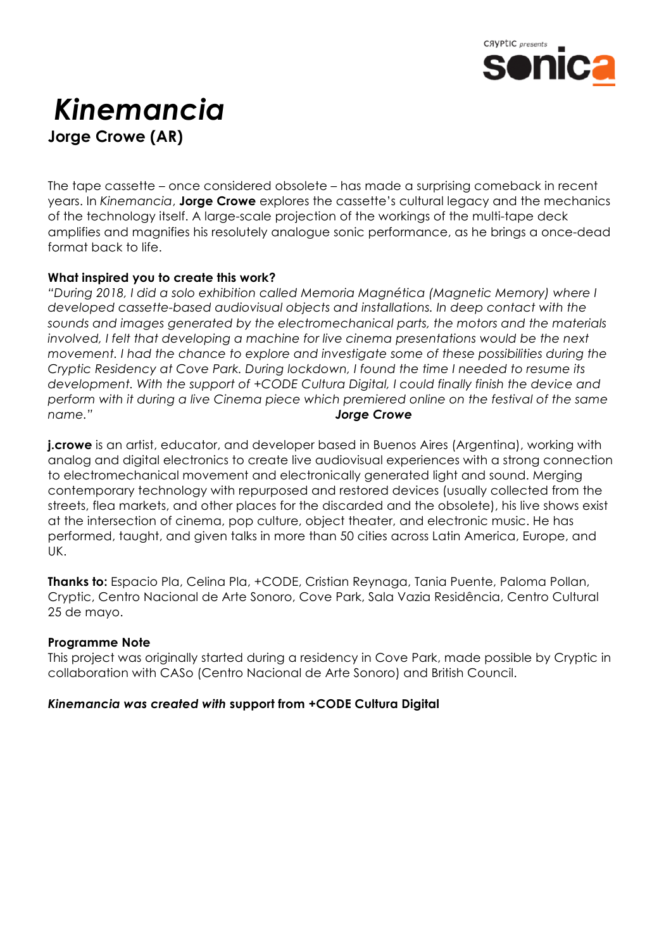

## *Kinemancia* **Jorge Crowe (AR)**

The tape cassette – once considered obsolete – has made a surprising comeback in recent years. In *Kinemancia*, **Jorge Crowe** explores the cassette's cultural legacy and the mechanics of the technology itself. A large-scale projection of the workings of the multi-tape deck amplifies and magnifies his resolutely analogue sonic performance, as he brings a once-dead format back to life.

#### **What inspired you to create this work?**

*"During 2018, I did a solo exhibition called Memoria Magnética (Magnetic Memory) where I developed cassette-based audiovisual objects and installations. In deep contact with the sounds and images generated by the electromechanical parts, the motors and the materials*  involved, I felt that developing a machine for live cinema presentations would be the next *movement. I had the chance to explore and investigate some of these possibilities during the Cryptic Residency at Cove Park. During lockdown, I found the time I needed to resume its development. With the support of +CODE Cultura Digital, I could finally finish the device and perform with it during a live Cinema piece which premiered online on the festival of the same name." Jorge Crowe*

**j.crowe** is an artist, educator, and developer based in Buenos Aires (Argentina), working with analog and digital electronics to create live audiovisual experiences with a strong connection to electromechanical movement and electronically generated light and sound. Merging contemporary technology with repurposed and restored devices (usually collected from the streets, flea markets, and other places for the discarded and the obsolete), his live shows exist at the intersection of cinema, pop culture, object theater, and electronic music. He has performed, taught, and given talks in more than 50 cities across Latin America, Europe, and UK.

**Thanks to:** Espacio Pla, Celina Pla, +CODE, Cristian Reynaga, Tania Puente, Paloma Pollan, Cryptic, Centro Nacional de Arte Sonoro, Cove Park, Sala Vazia Residência, Centro Cultural 25 de mayo.

#### **Programme Note**

This project was originally started during a residency in Cove Park, made possible by Cryptic in collaboration with CASo (Centro Nacional de Arte Sonoro) and British Council.

#### *Kinemancia was created with* **support from +CODE Cultura Digital**